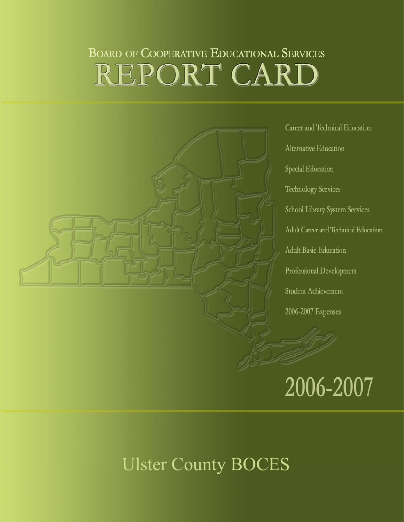# **BOARD OF COOPERATIVE EDUCATIONAL SERVICES** REPORT CARD



Career and Technical Education Alternative Education Special Education **Technology Services** School Library System Services Adult Career and Technical Education **Adult Basic Education** Professional Development Student Achievement 2006-2007 Expenses

# 2006-2007

# Ulster County BOCES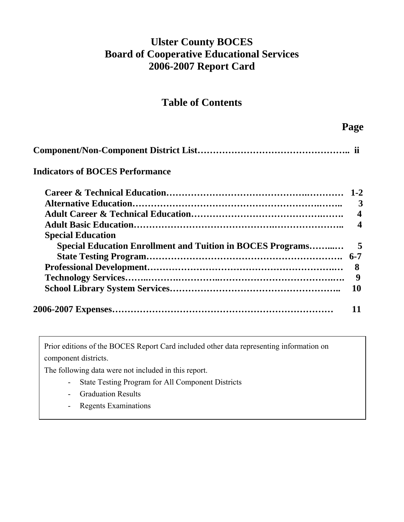# **Ulster County BOCES Board of Cooperative Educational Services 2006-2007 Report Card**

### **Table of Contents**

| <b>Indicators of BOCES Performance</b>                            |                         |
|-------------------------------------------------------------------|-------------------------|
|                                                                   |                         |
|                                                                   | 3                       |
|                                                                   | $\overline{\mathbf{4}}$ |
|                                                                   | $\boldsymbol{4}$        |
| <b>Special Education</b>                                          |                         |
| <b>Special Education Enrollment and Tuition in BOCES Programs</b> | 5                       |
|                                                                   |                         |
|                                                                   | 8                       |
|                                                                   | 9                       |
|                                                                   | 10                      |
|                                                                   |                         |

Prior editions of the BOCES Report Card included other data representing information on component districts.

The following data were not included in this report.

- State Testing Program for All Component Districts
- Graduation Results
- Regents Examinations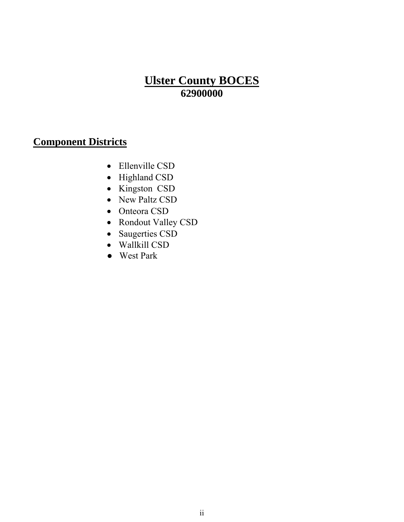# **Ulster County BOCES 62900000**

# **Component Districts**

- Ellenville CSD
- Highland CSD
- Kingston CSD
- New Paltz CSD
- Onteora CSD
- Rondout Valley CSD
- Saugerties CSD
- Wallkill CSD
- West Park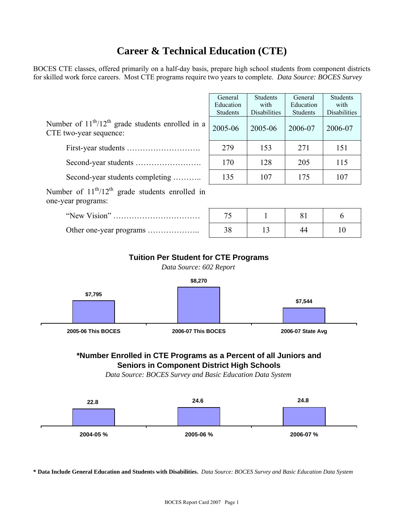# **Career & Technical Education (CTE)**

BOCES CTE classes, offered primarily on a half-day basis, prepare high school students from component districts for skilled work force careers. Most CTE programs require two years to complete. *Data Source: BOCES Survey*

|                                                                                    | General<br>Education<br><b>Students</b> | <b>Students</b><br>with<br><b>Disabilities</b> | General<br>Education<br><b>Students</b> | <b>Students</b><br>with<br><b>Disabilities</b> |
|------------------------------------------------------------------------------------|-----------------------------------------|------------------------------------------------|-----------------------------------------|------------------------------------------------|
| Number of $11^{th}/12^{th}$ grade students enrolled in a<br>CTE two-year sequence: | 2005-06                                 | 2005-06                                        | 2006-07                                 | 2006-07                                        |
|                                                                                    | 279                                     | 153                                            | 271                                     | 151                                            |
|                                                                                    | 170                                     | 128                                            | 205                                     | 115                                            |
| Second-year students completing                                                    | 135                                     | 107                                            | 175                                     | 107                                            |
| Number of $11^{th}/12^{th}$ grade students enrolled in<br>one-year programs.       |                                         |                                                |                                         |                                                |

one-year programs:

| "New Vision" |  |  |
|--------------|--|--|
|              |  |  |

#### **Tuition Per Student for CTE Programs**

*Data Source: 602 Report*



#### **\*Number Enrolled in CTE Programs as a Percent of all Juniors and Seniors in Component District High Schools**

*Data Source: BOCES Survey and Basic Education Data System*



**\* Data Include General Education and Students with Disabilities.** *Data Source: BOCES Survey and Basic Education Data System*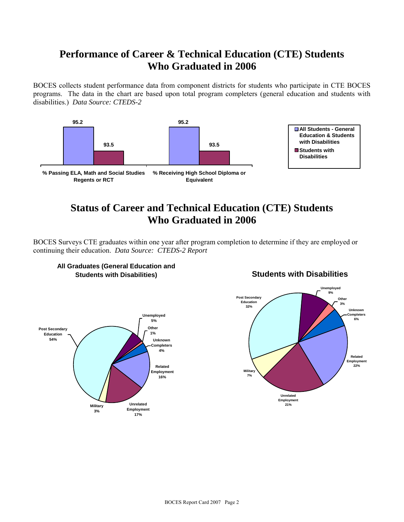# **Performance of Career & Technical Education (CTE) Students Who Graduated in 2006**

BOCES collects student performance data from component districts for students who participate in CTE BOCES programs. The data in the chart are based upon total program completers (general education and students with disabilities.) *Data Source: CTEDS-2*



# **Status of Career and Technical Education (CTE) Students Who Graduated in 2006**

BOCES Surveys CTE graduates within one year after program completion to determine if they are employed or continuing their education. *Data Source: CTEDS-2 Report*



#### **All Graduates (General Education and Students with Disabilities)**

#### **Students with Disabilities**

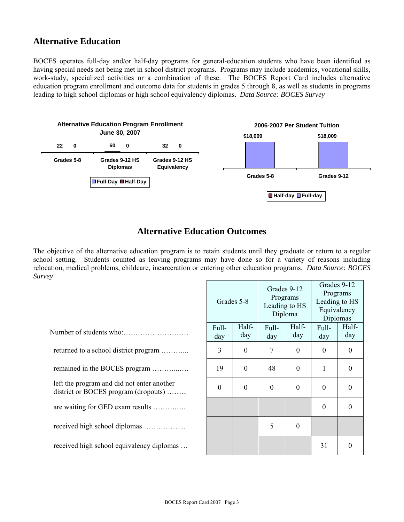#### **Alternative Education**

BOCES operates full-day and/or half-day programs for general-education students who have been identified as having special needs not being met in school district programs. Programs may include academics, vocational skills, work-study, specialized activities or a combination of these. The BOCES Report Card includes alternative education program enrollment and outcome data for students in grades 5 through 8, as well as students in programs leading to high school diplomas or high school equivalency diplomas. *Data Source: BOCES Survey* 



#### **Alternative Education Outcomes**

The objective of the alternative education program is to retain students until they graduate or return to a regular school setting. Students counted as leaving programs may have done so for a variety of reasons including relocation, medical problems, childcare, incarceration or entering other education programs. *Data Source: BOCES Survey*

|                                                                                    | Grades 9-12<br>Programs<br>Grades 5-8<br>Leading to HS<br>Diploma |              |              |                  | Grades 9-12<br>Programs<br>Leading to HS<br>Equivalency<br>Diplomas |                  |  |
|------------------------------------------------------------------------------------|-------------------------------------------------------------------|--------------|--------------|------------------|---------------------------------------------------------------------|------------------|--|
|                                                                                    | Full-<br>day                                                      | Half-<br>day | Full-<br>day | Half-<br>day     | Full-<br>day                                                        | Half-<br>day     |  |
| returned to a school district program                                              | 3                                                                 | $\theta$     | 7            | $\overline{0}$   | $\theta$                                                            | $\boldsymbol{0}$ |  |
| remained in the BOCES program                                                      | 19                                                                | $\theta$     | 48           | $\theta$         | 1                                                                   | $\boldsymbol{0}$ |  |
| left the program and did not enter another<br>district or BOCES program (dropouts) | $\theta$                                                          | $\mathbf{0}$ | $\mathbf{0}$ | $\theta$         | $\mathbf{0}$                                                        | $\mathbf{0}$     |  |
| are waiting for GED exam results                                                   |                                                                   |              |              |                  | $\boldsymbol{0}$                                                    | $\boldsymbol{0}$ |  |
|                                                                                    |                                                                   |              | 5            | $\boldsymbol{0}$ |                                                                     |                  |  |
| received high school equivalency diplomas                                          |                                                                   |              |              |                  | 31                                                                  | $\theta$         |  |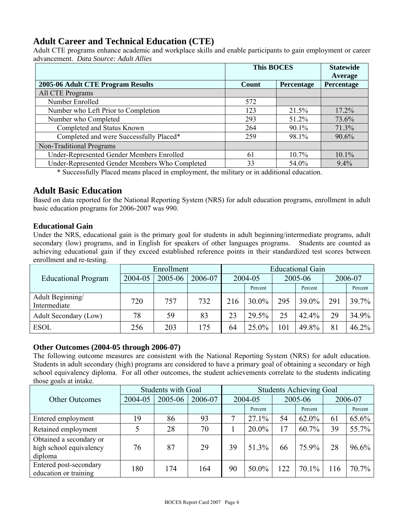#### **Adult Career and Technical Education (CTE)**

Adult CTE programs enhance academic and workplace skills and enable participants to gain employment or career advancement. *Data Source: Adult Allies* 

|                                                | <b>This BOCES</b> | <b>Statewide</b><br>Average |            |
|------------------------------------------------|-------------------|-----------------------------|------------|
| 2005-06 Adult CTE Program Results              | Count             | Percentage                  | Percentage |
| All CTE Programs                               |                   |                             |            |
| Number Enrolled                                | 572               |                             |            |
| Number who Left Prior to Completion            | 123               | 21.5%                       | 17.2%      |
| Number who Completed                           | 293               | 51.2%                       | 73.6%      |
| Completed and Status Known                     | 264               | 90.1%                       | 71.3%      |
| Completed and were Successfully Placed*        | 259               | 98.1%                       | 90.6%      |
| Non-Traditional Programs                       |                   |                             |            |
| Under-Represented Gender Members Enrolled      | 61                | 10.7%                       | 10.1%      |
| Under-Represented Gender Members Who Completed | 33                | 54.0%                       | $9.4\%$    |

\* Successfully Placed means placed in employment, the military or in additional education.

#### **Adult Basic Education**

Based on data reported for the National Reporting System (NRS) for adult education programs, enrollment in adult basic education programs for 2006-2007 was 990.

#### **Educational Gain**

Under the NRS, educational gain is the primary goal for students in adult beginning/intermediate programs, adult secondary (low) programs, and in English for speakers of other languages programs. Students are counted as achieving educational gain if they exceed established reference points in their standardized test scores between enrollment and re-testing.

|                                  | Enrollment | <b>Educational Gain</b>                  |     |     |         |     |          |     |         |  |  |         |
|----------------------------------|------------|------------------------------------------|-----|-----|---------|-----|----------|-----|---------|--|--|---------|
| Educational Program              | 2004-05    | 2005-06<br>2005-06<br>2006-07<br>2004-05 |     |     |         |     |          |     |         |  |  | 2006-07 |
|                                  |            |                                          |     |     | Percent |     | Percent  |     | Percent |  |  |         |
| Adult Beginning/<br>Intermediate | 720        | 757                                      | 732 | 216 | 30.0%   | 295 | 39.0%    | 291 | 39.7%   |  |  |         |
| Adult Secondary (Low)            | 78         | 59                                       | 83  | 23  | 29.5%   | 25  | $42.4\%$ | 29  | 34.9%   |  |  |         |
| <b>ESOL</b>                      | 256        | 203                                      | 175 | 64  | 25.0%   | 101 | 49.8%    | 81  | 46.2%   |  |  |         |

#### **Other Outcomes (2004-05 through 2006-07)**

The following outcome measures are consistent with the National Reporting System (NRS) for adult education. Students in adult secondary (high) programs are considered to have a primary goal of obtaining a secondary or high school equivalency diploma. For all other outcomes, the student achievements correlate to the students indicating those goals at intake.

|                                                               | <b>Students with Goal</b> | <b>Students Achieving Goal</b> |         |    |          |     |          |     |          |
|---------------------------------------------------------------|---------------------------|--------------------------------|---------|----|----------|-----|----------|-----|----------|
| <b>Other Outcomes</b>                                         | 2004-05                   | 2005-06                        | 2006-07 |    | 2004-05  |     | 2005-06  |     | 2006-07  |
|                                                               |                           |                                |         |    | Percent  |     | Percent  |     | Percent  |
| Entered employment                                            | 19                        | 86                             | 93      |    | 27.1%    | 54  | 62.0%    | 61  | 65.6%    |
| Retained employment                                           |                           | 28                             | 70      |    | 20.0%    |     | $60.7\%$ | 39  | 55.7%    |
| Obtained a secondary or<br>high school equivalency<br>diploma | 76                        | 87                             | 29      | 39 | 51.3%    | 66  | 75.9%    | 28  | $96.6\%$ |
| Entered post-secondary<br>education or training               | 180                       | 174                            | 164     | 90 | $50.0\%$ | 122 | 70.1%    | 116 | 70.7%    |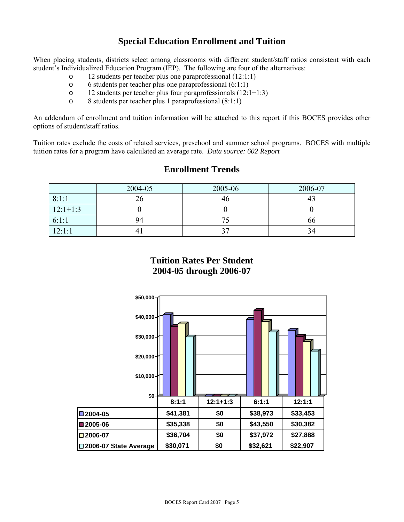#### **Special Education Enrollment and Tuition**

When placing students, districts select among classrooms with different student/staff ratios consistent with each student's Individualized Education Program (IEP). The following are four of the alternatives:

- o 12 students per teacher plus one paraprofessional (12:1:1)
- o 6 students per teacher plus one paraprofessional (6:1:1)
- o 12 students per teacher plus four paraprofessionals (12:1+1:3)
- o 8 students per teacher plus 1 paraprofessional (8:1:1)

An addendum of enrollment and tuition information will be attached to this report if this BOCES provides other options of student/staff ratios.

Tuition rates exclude the costs of related services, preschool and summer school programs. BOCES with multiple tuition rates for a program have calculated an average rate. *Data source: 602 Report*

#### **Enrollment Trends**

|            | 2004-05 | 2005-06  | 2006-07 |
|------------|---------|----------|---------|
| 8:1:1      | 26      | 46       | 43      |
| $12:1+1:3$ |         |          |         |
| 6:1:1      | 94      |          | 66      |
| 12:1:1     |         | $\gamma$ | 34      |

#### **Tuition Rates Per Student 2004-05 through 2006-07**

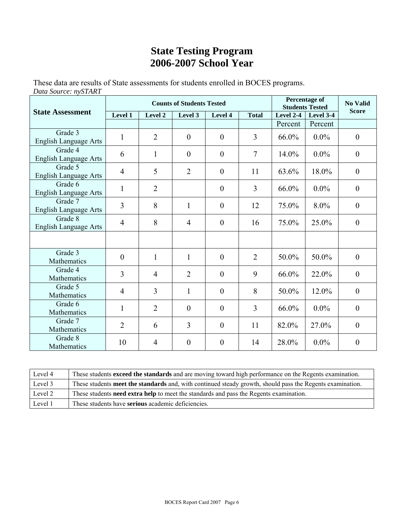# **State Testing Program 2006-2007 School Year**

These data are results of State assessments for students enrolled in BOCES programs. *Data Source: nySTART*

| <i>Bana Bom</i> cc. <i>n n</i> DI 11111 |                |                | <b>Counts of Students Tested</b> | Percentage of<br><b>Students Tested</b> | <b>No Valid</b><br><b>Score</b> |           |           |                |
|-----------------------------------------|----------------|----------------|----------------------------------|-----------------------------------------|---------------------------------|-----------|-----------|----------------|
| <b>State Assessment</b>                 | Level 1        | Level 2        | Level 3                          | Level 4                                 | <b>Total</b>                    | Level 2-4 | Level 3-4 |                |
|                                         |                |                |                                  |                                         |                                 | Percent   | Percent   |                |
| Grade 3<br>English Language Arts        | $\mathbf{1}$   | $\overline{2}$ | $\overline{0}$                   | $\mathbf{0}$                            | 3                               | 66.0%     | $0.0\%$   | $\mathbf{0}$   |
| Grade 4<br><b>English Language Arts</b> | 6              | $\mathbf{1}$   | $\boldsymbol{0}$                 | $\theta$                                | $\overline{7}$                  | 14.0%     | $0.0\%$   | $\mathbf{0}$   |
| Grade 5<br><b>English Language Arts</b> | $\overline{4}$ | 5              | $\overline{2}$                   | $\mathbf{0}$                            | 11                              | 63.6%     | 18.0%     | $\overline{0}$ |
| Grade 6<br><b>English Language Arts</b> | $\mathbf{1}$   | $\overline{2}$ |                                  | $\theta$                                | 3                               | 66.0%     | $0.0\%$   | $\mathbf{0}$   |
| Grade 7<br><b>English Language Arts</b> | $\overline{3}$ | 8              | $\mathbf{1}$                     | $\mathbf{0}$                            | 12                              | 75.0%     | 8.0%      | $\theta$       |
| Grade 8<br><b>English Language Arts</b> | $\overline{4}$ | 8              | $\overline{4}$                   | $\overline{0}$                          | 16                              | 75.0%     | 25.0%     | $\mathbf{0}$   |
|                                         |                |                |                                  |                                         |                                 |           |           |                |
| Grade 3<br>Mathematics                  | $\theta$       | $\mathbf{1}$   | $\mathbf{1}$                     | $\theta$                                | $\overline{2}$                  | 50.0%     | 50.0%     | $\mathbf{0}$   |
| Grade 4<br>Mathematics                  | 3              | $\overline{4}$ | $\overline{2}$                   | $\theta$                                | 9                               | 66.0%     | 22.0%     | $\overline{0}$ |
| Grade 5<br>Mathematics                  | $\overline{4}$ | 3              | $\mathbf{1}$                     | $\mathbf{0}$                            | 8                               | 50.0%     | 12.0%     | $\overline{0}$ |
| Grade 6<br>Mathematics                  | $\mathbf{1}$   | $\overline{2}$ | $\overline{0}$                   | $\mathbf{0}$                            | $\overline{3}$                  | 66.0%     | $0.0\%$   | $\theta$       |
| Grade 7<br>Mathematics                  | $\overline{2}$ | 6              | 3                                | $\theta$                                | 11                              | 82.0%     | 27.0%     | $\mathbf{0}$   |
| Grade 8<br>Mathematics                  | 10             | $\overline{4}$ | $\overline{0}$                   | $\theta$                                | 14                              | 28.0%     | $0.0\%$   | $\overline{0}$ |

| Level 4 | These students exceed the standards and are moving toward high performance on the Regents examination.    |
|---------|-----------------------------------------------------------------------------------------------------------|
| Level 3 | These students meet the standards and, with continued steady growth, should pass the Regents examination. |
| Level 2 | These students need extra help to meet the standards and pass the Regents examination.                    |
| Level 1 | These students have <b>serious</b> academic deficiencies.                                                 |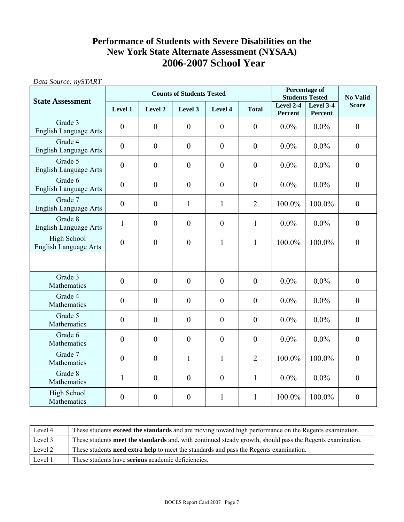### **Performance of Students with Severe Disabilities on the New York State Alternate Assessment (NYSAA) 2006-2007 School Year**

| Data Source: nySTART                        |                  |                  |                                  |                  |                  |                        |                      |                  |
|---------------------------------------------|------------------|------------------|----------------------------------|------------------|------------------|------------------------|----------------------|------------------|
|                                             |                  |                  | <b>Counts of Students Tested</b> |                  |                  | <b>Students Tested</b> | <b>Percentage of</b> | <b>No Valid</b>  |
| <b>State Assessment</b>                     | Level 1          | Level 2          | Level 3                          | Level 4          | <b>Total</b>     | Level 2-4              | Level 3-4            | <b>Score</b>     |
| Grade 3                                     |                  |                  |                                  |                  |                  | Percent                | Percent              |                  |
| <b>English Language Arts</b>                | $\mathbf{0}$     | $\boldsymbol{0}$ | $\boldsymbol{0}$                 | $\mathbf{0}$     | $\boldsymbol{0}$ | $0.0\%$                | $0.0\%$              | $\theta$         |
| Grade 4<br><b>English Language Arts</b>     | $\boldsymbol{0}$ | $\boldsymbol{0}$ | $\boldsymbol{0}$                 | $\overline{0}$   | $\boldsymbol{0}$ | $0.0\%$                | $0.0\%$              | $\boldsymbol{0}$ |
| Grade 5<br><b>English Language Arts</b>     | $\boldsymbol{0}$ | $\boldsymbol{0}$ | $\boldsymbol{0}$                 | $\boldsymbol{0}$ | $\boldsymbol{0}$ | $0.0\%$                | $0.0\%$              | $\boldsymbol{0}$ |
| Grade 6<br><b>English Language Arts</b>     | $\boldsymbol{0}$ | $\boldsymbol{0}$ | $\boldsymbol{0}$                 | $\boldsymbol{0}$ | $\boldsymbol{0}$ | $0.0\%$                | $0.0\%$              | $\boldsymbol{0}$ |
| Grade 7<br><b>English Language Arts</b>     | $\boldsymbol{0}$ | $\overline{0}$   | $\mathbf{1}$                     | $\mathbf{1}$     | $\overline{2}$   | 100.0%                 | 100.0%               | $\overline{0}$   |
| Grade 8<br><b>English Language Arts</b>     | $\mathbf{1}$     | $\overline{0}$   | $\theta$                         | $\theta$         | $\mathbf{1}$     | $0.0\%$                | $0.0\%$              | $\overline{0}$   |
| High School<br><b>English Language Arts</b> | $\boldsymbol{0}$ | $\boldsymbol{0}$ | $\boldsymbol{0}$                 | $\mathbf{1}$     | $\mathbf{1}$     | 100.0%                 | 100.0%               | $\boldsymbol{0}$ |
|                                             |                  |                  |                                  |                  |                  |                        |                      |                  |
| Grade 3<br>Mathematics                      | $\boldsymbol{0}$ | $\boldsymbol{0}$ | $\boldsymbol{0}$                 | $\overline{0}$   | $\boldsymbol{0}$ | $0.0\%$                | $0.0\%$              | $\boldsymbol{0}$ |
| Grade 4<br>Mathematics                      | $\boldsymbol{0}$ | $\boldsymbol{0}$ | $\boldsymbol{0}$                 | $\boldsymbol{0}$ | $\boldsymbol{0}$ | $0.0\%$                | $0.0\%$              | $\boldsymbol{0}$ |
| Grade 5<br>Mathematics                      | $\theta$         | $\overline{0}$   | $\theta$                         | $\overline{0}$   | $\theta$         | $0.0\%$                | $0.0\%$              | $\overline{0}$   |
| Grade 6<br>Mathematics                      | $\theta$         | $\boldsymbol{0}$ | $\theta$                         | $\overline{0}$   | $\boldsymbol{0}$ | $0.0\%$                | $0.0\%$              | $\boldsymbol{0}$ |
| Grade 7<br>Mathematics                      | $\overline{0}$   | $\boldsymbol{0}$ | $\mathbf{1}$                     | $\mathbf{1}$     | $\overline{2}$   | 100.0%                 | 100.0%               | $\overline{0}$   |
| Grade 8<br>Mathematics                      | $\mathbf{1}$     | $\boldsymbol{0}$ | $\boldsymbol{0}$                 | $\mathbf{0}$     | $\mathbf{1}$     | $0.0\%$                | $0.0\%$              | $\boldsymbol{0}$ |
| High School<br>Mathematics                  | $\boldsymbol{0}$ | $\overline{0}$   | $\boldsymbol{0}$                 | $\mathbf{1}$     | $\mathbf{1}$     | 100.0%                 | 100.0%               | $\boldsymbol{0}$ |

| Level 4 | These students exceed the standards and are moving toward high performance on the Regents examination.    |
|---------|-----------------------------------------------------------------------------------------------------------|
| Level 3 | These students meet the standards and, with continued steady growth, should pass the Regents examination. |
| Level 2 | These students <b>need extra help</b> to meet the standards and pass the Regents examination.             |
| Level 1 | These students have <b>serious</b> academic deficiencies.                                                 |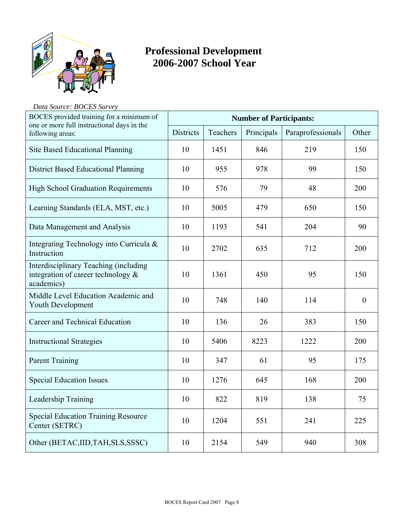

# **Professional Development 2006-2007 School Year**

#### *Data Source: BOCES Survey*

| BOCES provided training for a minimum of                                                     | <b>Number of Participants:</b> |          |            |                   |              |  |
|----------------------------------------------------------------------------------------------|--------------------------------|----------|------------|-------------------|--------------|--|
| one or more full instructional days in the<br>following areas:                               | <b>Districts</b>               | Teachers | Principals | Paraprofessionals | Other        |  |
| Site Based Educational Planning                                                              | 10                             | 1451     | 846        | 219               | 150          |  |
| <b>District Based Educational Planning</b>                                                   | 10                             | 955      | 978        | 99                | 150          |  |
| <b>High School Graduation Requirements</b>                                                   | 10                             | 576      | 79         | 48                | 200          |  |
| Learning Standards (ELA, MST, etc.)                                                          | 10                             | 5005     | 479        | 650               | 150          |  |
| Data Management and Analysis                                                                 | 10                             | 1193     | 541        | 204               | 90           |  |
| Integrating Technology into Curricula &<br>Instruction                                       | 10                             | 2702     | 635        | 712               | 200          |  |
| Interdisciplinary Teaching (including<br>integration of career technology $\&$<br>academics) | 10                             | 1361     | 450        | 95                | 150          |  |
| Middle Level Education Academic and<br>Youth Development                                     | 10                             | 748      | 140        | 114               | $\mathbf{0}$ |  |
| <b>Career and Technical Education</b>                                                        | 10                             | 136      | 26         | 383               | 150          |  |
| <b>Instructional Strategies</b>                                                              | 10                             | 5406     | 8223       | 1222              | 200          |  |
| <b>Parent Training</b>                                                                       | 10                             | 347      | 61         | 95                | 175          |  |
| <b>Special Education Issues</b>                                                              | 10                             | 1276     | 645        | 168               | 200          |  |
| Leadership Training                                                                          | 10                             | 822      | 819        | 138               | 75           |  |
| <b>Special Education Training Resource</b><br>Center (SETRC)                                 | 10                             | 1204     | 551        | 241               | 225          |  |
| Other (BETAC, IID, TAH, SLS, SSSC)                                                           | 10                             | 2154     | 549        | 940               | 308          |  |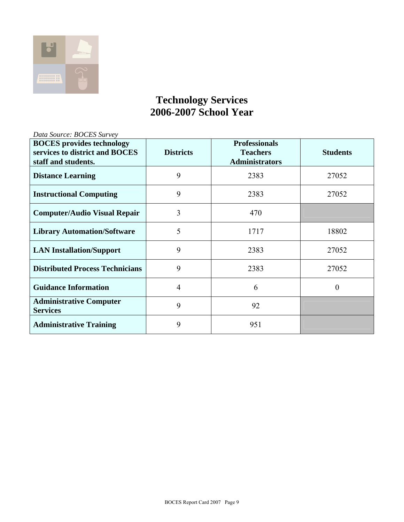

# **Technology Services 2006-2007 School Year**

| Data Source: BOCES Survey                                                                 |                  |                                                                  |                 |  |  |  |  |
|-------------------------------------------------------------------------------------------|------------------|------------------------------------------------------------------|-----------------|--|--|--|--|
| <b>BOCES</b> provides technology<br>services to district and BOCES<br>staff and students. | <b>Districts</b> | <b>Professionals</b><br><b>Teachers</b><br><b>Administrators</b> | <b>Students</b> |  |  |  |  |
| <b>Distance Learning</b>                                                                  | 9                | 2383                                                             | 27052           |  |  |  |  |
| <b>Instructional Computing</b>                                                            | 9                | 2383                                                             | 27052           |  |  |  |  |
| <b>Computer/Audio Visual Repair</b>                                                       | 3                | 470                                                              |                 |  |  |  |  |
| <b>Library Automation/Software</b>                                                        | 5                | 1717                                                             | 18802           |  |  |  |  |
| <b>LAN Installation/Support</b>                                                           | 9                | 2383                                                             | 27052           |  |  |  |  |
| <b>Distributed Process Technicians</b>                                                    | 9                | 2383                                                             | 27052           |  |  |  |  |
| <b>Guidance Information</b>                                                               | $\overline{4}$   | 6                                                                | $\theta$        |  |  |  |  |
| <b>Administrative Computer</b><br><b>Services</b>                                         | 9                | 92                                                               |                 |  |  |  |  |
| <b>Administrative Training</b>                                                            | 9                | 951                                                              |                 |  |  |  |  |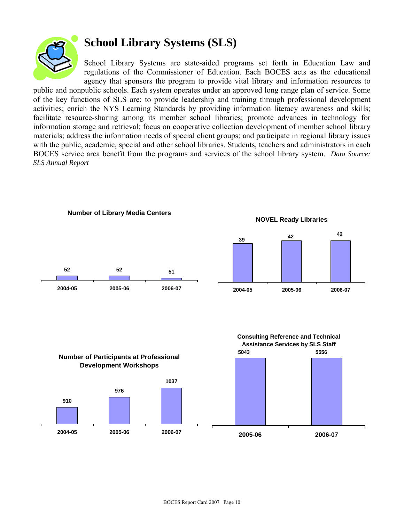

# **School Library Systems (SLS)**

School Library Systems are state-aided programs set forth in Education Law and regulations of the Commissioner of Education. Each BOCES acts as the educational agency that sponsors the program to provide vital library and information resources to

public and nonpublic schools. Each system operates under an approved long range plan of service. Some of the key functions of SLS are: to provide leadership and training through professional development activities; enrich the NYS Learning Standards by providing information literacy awareness and skills; facilitate resource-sharing among its member school libraries; promote advances in technology for information storage and retrieval; focus on cooperative collection development of member school library materials; address the information needs of special client groups; and participate in regional library issues with the public, academic, special and other school libraries. Students, teachers and administrators in each BOCES service area benefit from the programs and services of the school library system. *Data Source: SLS Annual Report*